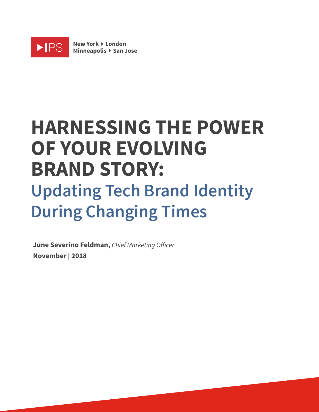

**New York** Ì **London Minneapolis** Ì **San Jose**

# **HARNESSING THE POWER OF YOUR EVOLVING BRAND STORY: Updating Tech Brand Identity During Changing Times**

**June Severino Feldman,** *Chief Marketing O*f*icer* **November | 2018**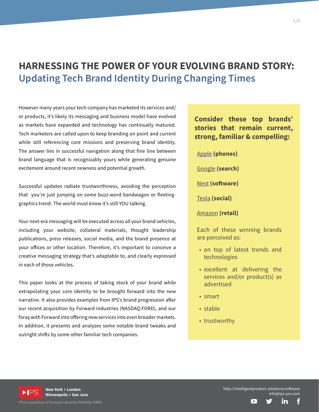# **HARNESSING THE POWER OF YOUR EVOLVING BRAND STORY: Updating Tech Brand Identity During Changing Times**

However many years your tech company has marketed its services and/ or products, it's likely its messaging and business model have evolved as markets have expanded and technology has continually matured. Tech marketers are called upon to keep branding on point and current while still referencing core missions and preserving brand identity. The answer lies in successful navigation along that fine line between brand language that is recognizably yours while generating genuine excitement around recent newness and potential growth.

Successful updates radiate trustworthiness, avoiding the perception that you're just jumping on some buzz-word bandwagon or fleetinggraphics trend. The world must know it's still YOU talking.

Your next-era messaging will be executed across all your brand vehicles, including your website, collateral materials, thought leadership publications, press releases, social media, and the brand presence at your ofices or other location. Therefore, it's important to conceive a creative messaging strategy that's adaptable to, and clearly expressed in each of those vehicles.

This paper looks at the process of taking stock of your brand while extrapolating your core identity to be brought forward into the new narrative. It also provides examples from IPS's brand progression afer our recent acquisition by Forward Industries (NASDAQ:FORD), and our foray with Forward into offering new services into even broader markets. In addition, it presents and analyzes some notable brand tweaks and outright shifts by some other familiar tech companies.

**Consider these top brands' stories that remain current, strong, familiar & compelling:**

Apple **(phones)**

Google **(search)**

Nest **(sofware)**

Tesla **(social)**

Amazon **(retail)**

Each of these winning brands are perceived as:

- on top of latest trends and technologies
- excellent at delivering the services and/or product(s) as advertised
- smart
- stable
- trustworthy





<sup>2</sup>S is a subsidiary of Forward Industries (NASDAQ: FORD)

1/8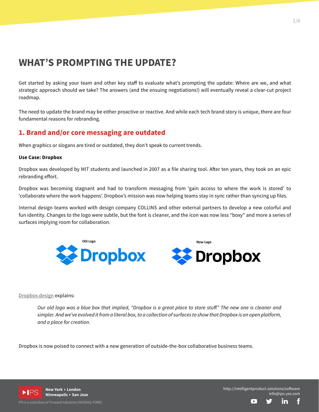# **WHAT'S PROMPTING THE UPDATE?**

Get started by asking your team and other key staff to evaluate what's prompting the update: Where are we, and what strategic approach should we take? The answers (and the ensuing negotiations!) will eventually reveal a clear-cut project roadmap.

The need to update the brand may be either proactive or reactive. And while each tech brand story is unique, there are four fundamental reasons for rebranding.

## **1. Brand and/or core messaging are outdated**

When graphics or slogans are tired or outdated, they don't speak to current trends.

### **Use Case: Dropbox**

Dropbox was developed by MIT students and launched in 2007 as a file sharing tool. Afer ten years, they took on an epic rebranding effort.

Dropbox was becoming stagnant and had to transform messaging from 'gain access to where the work is stored' to 'collaborate where the work happens'. Dropbox's mission was now helping teams stay in sync rather than syncing up files.

Internal design teams worked with design company COLLINS and other external partners to develop a new colorful and fun identity. Changes to the logo were subtle, but the font is cleaner, and the icon was now less "boxy" and more a series of surfaces implying room for collaboration.



### Dropbox.design explains:

*Our old logo was a blue box that implied, "Dropbox is a great place to store stu*f*." The new one is cleaner and simpler. And we've evolved it from a literal box, to a collection of surfaces to show that Dropbox is an open platform, and a place for creation.*

Dropbox is now poised to connect with a new generation of outside-the-box collaborative business teams.



**New York** Ì **London Minneapolis** Ì **San Jose**

<sup>2</sup>S is a subsidiary of Forward Industries (NASDAQ: FORD)

http://intelligentproduct.solutions/sofware info@ips-yes.com

 $\Box$ 

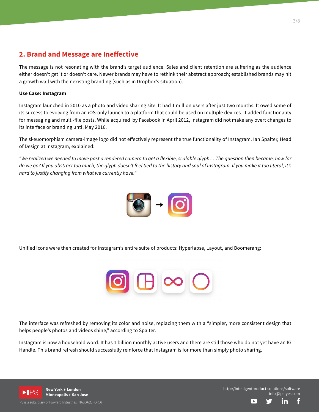# **2. Brand and Message are Inefective**

The message is not resonating with the brand's target audience. Sales and client retention are sufering as the audience either doesn't get it or doesn't care. Newer brands may have to rethink their abstract approach; established brands may hit a growth wall with their existing branding (such as in Dropbox's situation).

### **Use Case: Instagram**

Instagram launched in 2010 as a photo and video sharing site. It had 1 million users afer just two months. It owed some of its success to evolving from an iOS-only launch to a platform that could be used on multiple devices. It added functionality for messaging and multi-file posts. While acquired by Facebook in April 2012, Instagram did not make any overt changes to its interface or branding until May 2016.

The skeuomorphism camera-image logo did not efectively represent the true functionality of Instagram. Ian Spalter, Head of Design at Instagram, explained:

*"We realized we needed to move past a rendered camera to get a flexible, scalable glyph… The question then became, how far do we go? If you abstract too much, the glyph doesn't feel tied to the history and soul of Instagram. If you make it too literal, it's hard to justify changing from what we currently have."*



Unified icons were then created for Instagram's entire suite of products: Hyperlapse, Layout, and Boomerang:



The interface was refreshed by removing its color and noise, replacing them with a "simpler, more consistent design that helps people's photos and videos shine," according to Spalter.

Instagram is now a household word. It has 1 billion monthly active users and there are still those who do not yet have an IG Handle. This brand refresh should successfully reinforce that Instagram is for more than simply photo sharing.



S is a subsidiary of Forward Industries (NASDAQ: FORD)

http://intelligentproduct.solutions/sofware info@ips-yes.com

 $\Box$ 

f

in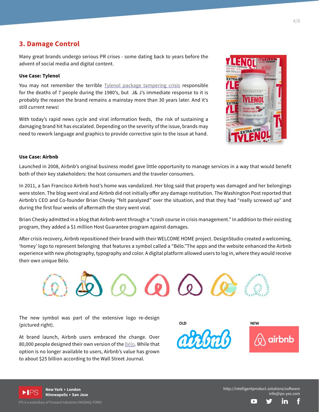## **3. Damage Control**

Many great brands undergo serious PR crises - some dating back to years before the advent of social media and digital content.

#### **Use Case: Tylenol**

You may not remember the terrible Tylenol package tampering crisis responsible for the deaths of 7 people during the 1980's, but J& J's immediate response to it is probably the reason the brand remains a mainstay more than 30 years later. And it's still current news!

With today's rapid news cycle and viral information feeds, the risk of sustaining a damaging brand hit has escalated. Depending on the severity of the issue, brands may need to rework language and graphics to provide corrective spin to the issue at hand.



### **Use Case: Airbnb**

Launched in 2008, Airbnb's original business model gave little opportunity to manage services in a way that would benefit both of their key stakeholders: the host consumers and the traveler consumers.

In 2011, a San Francisco Airbnb host's home was vandalized. Her blog said that property was damaged and her belongings were stolen. The blog went viral and Airbnb did not initially offer any damage restitution. The Washington Post reported that Airbnb's CEO and Co-founder Brian Chesky "felt paralyzed" over the situation, and that they had "really screwed up" and during the first four weeks of afermath the story went viral.

Brian Chesky admitted in a blog that Airbnb went through a "crash course in crisis management." In addition to their existing program, they added a \$1 million Host Guarantee program against damages.

Afer crisis recovery, Airbnb repositioned their brand with their WELCOME HOME project. DesignStudio created a welcoming, 'homey' logo to represent belonging that features a symbol called a "Bélo."The apps and the website enhanced the Airbnb experience with new photography, typography and color. A digital platform allowed users to log in, where they would receive their own unique Bélo.



The new symbol was part of the extensive logo re-design (pictured right).

At brand launch, Airbnb users embraced the change. Over 80,000 people designed their own version of the Bélo. While that option is no longer available to users, Airbnb's value has grown to about \$25 billion according to the Wall Street Journal.

 $01D$ 





**Minneapolis** Ì **San Jose**

<sup>2</sup>S is a subsidiary of Forward Industries (NASDAQ: FORD)

http://intelligentproduct.solutions/sofware info@ips-yes.com

E

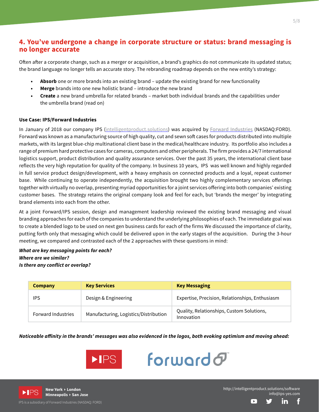# **4. You've undergone a change in corporate structure or status: brand messaging is no longer accurate**

Often after a corporate change, such as a merger or acquisition, a brand's graphics do not communicate its updated status; the brand language no longer tells an accurate story. The rebranding roadmap depends on the new entity's strategy:

- **• Absorb** one or more brands into an existing brand update the existing brand for new functionality
- **• Merge** brands into one new holistic brand introduce the new brand
- **• Create** a new brand umbrella for related brands market both individual brands and the capabilities under the umbrella brand (read on)

#### **Use Case: IPS/Forward Industries**

In January of 2018 our company IPS (intelligentproduct.solutions) was acquired by Forward Industries (NASDAQ:FORD). Forward was known as a manufacturing source of high quality, cut and sewn soft cases for products distributed into multiple markets, with its largest blue-chip multinational client base in the medical/healthcare industry. Its portfolio also includes a range of premium hard protective cases for cameras, computers and other peripherals. The firm provides a 24/7 international logistics support, product distribution and quality assurance services. Over the past 35 years, the international client base reflects the very high reputation for quality of the company. In business 10 years, IPS was well known and highly regarded in full service product design/development, with a heavy emphasis on connected products and a loyal, repeat customer base. While continuing to operate independently, the acquisition brought two highly complementary services oferings together with virtually no overlap, presenting myriad opportunities for a joint services ofering into both companies' existing customer bases. The strategy retains the original company look and feel for each, but 'brands the merger' by integrating brand elements into each from the other.

At a joint Forward/IPS session, design and management leadership reviewed the existing brand messaging and visual branding approaches for each of the companies to understand the underlying philosophies of each. The immediate goal was to create a blended logo to be used on next gen business cards for each of the firms We discussed the importance of clarity, putting forth only that messaging which could be delivered upon in the early stages of the acquisition. During the 3-hour meeting, we compared and contrasted each of the 2 approaches with these questions in mind:

*What are key messaging points for each? Where are we similar? Is there any conflict or overlap?*

| Company                   | <b>Key Services</b>                   | <b>Key Messaging</b>                                    |
|---------------------------|---------------------------------------|---------------------------------------------------------|
| IPS                       | Design & Engineering                  | Expertise, Precision, Relationships, Enthusiasm         |
| <b>Forward Industries</b> | Manufacturing, Logistics/Distribution | Quality, Relationships, Custom Solutions,<br>Innovation |

*Noticeable a***f***inity in the brands' messages was also evidenced in the logos, both evoking optimism and moving ahead:*





**New York** Ì **London Minneapolis** Ì **San Jose**

S is a subsidiary of Forward Industries (NASDAQ: FORD)

http://intelligentproduct.solutions/sofware info@ips-yes.com

╔

f

in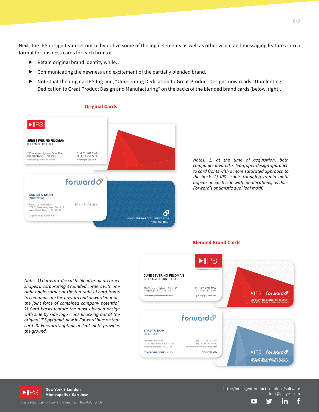Next, the IPS design team set out to hybridize some of the logo elements as well as other visual and messaging features into a format for business cards for each firm to:

- Retain original brand identity while...
- $\blacktriangleright$  Communicating the newness and excitement of the partially blended brand.
- ▶ Note that the original IPS tag line, "Unrelenting Dedication to Great Product Design" now reads "Unrelenting Dedication to Great Product Design and Manufacturing" on the backs of the blended brand cards (below, right).

#### **Original Cards**



*Notes: 1) at the time of acquisition, both companies favored a clean, open design approach to card fronts with a more saturated approach to the back. 2) IPS' iconic triangle/pyramid motif appear on each side with modifications, as does Forward's optimistic dual leaf motif.*

*Notes: 1) Cards are die cut to blend original corner shapes incorporating 3 rounded corners with one right angle corner at the top right of card fronts to communicate the upward and onward motion; the joint force of combined company potential. 2) Card backs feature the most blended design with side by side logo icons knocking out of the original IPS pyramid, now in Forward blue on that card. 3) Forward's optimistic leaf motif provides the ground.*



**Blended Brand Cards**



**Minneapolis** Ì **San Jose**

IPS is a subsidiary of Forward Industries (NASDAQ: FORD)

http://intelligentproduct.solutions/sofware info@ips-yes.com